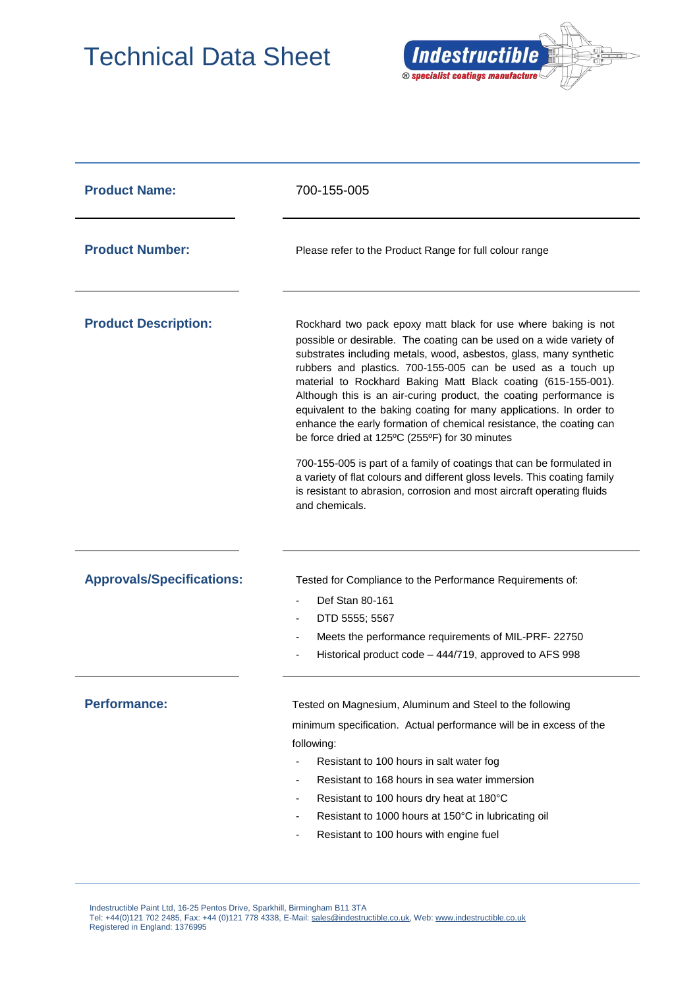## Technical Data Sheet



| <b>Product Name:</b>             | 700-155-005                                                                                                                                                                                                                                                                                                                                                                                                                                                                                                                                                                                                                                                                                                                                                                                                                                                         |  |
|----------------------------------|---------------------------------------------------------------------------------------------------------------------------------------------------------------------------------------------------------------------------------------------------------------------------------------------------------------------------------------------------------------------------------------------------------------------------------------------------------------------------------------------------------------------------------------------------------------------------------------------------------------------------------------------------------------------------------------------------------------------------------------------------------------------------------------------------------------------------------------------------------------------|--|
| <b>Product Number:</b>           | Please refer to the Product Range for full colour range                                                                                                                                                                                                                                                                                                                                                                                                                                                                                                                                                                                                                                                                                                                                                                                                             |  |
| <b>Product Description:</b>      | Rockhard two pack epoxy matt black for use where baking is not<br>possible or desirable. The coating can be used on a wide variety of<br>substrates including metals, wood, asbestos, glass, many synthetic<br>rubbers and plastics. 700-155-005 can be used as a touch up<br>material to Rockhard Baking Matt Black coating (615-155-001).<br>Although this is an air-curing product, the coating performance is<br>equivalent to the baking coating for many applications. In order to<br>enhance the early formation of chemical resistance, the coating can<br>be force dried at 125°C (255°F) for 30 minutes<br>700-155-005 is part of a family of coatings that can be formulated in<br>a variety of flat colours and different gloss levels. This coating family<br>is resistant to abrasion, corrosion and most aircraft operating fluids<br>and chemicals. |  |
| <b>Approvals/Specifications:</b> | Tested for Compliance to the Performance Requirements of:<br>Def Stan 80-161<br>DTD 5555; 5567<br>Meets the performance requirements of MIL-PRF-22750<br>$\overline{\phantom{a}}$<br>Historical product code - 444/719, approved to AFS 998                                                                                                                                                                                                                                                                                                                                                                                                                                                                                                                                                                                                                         |  |
| <b>Performance:</b>              | Tested on Magnesium, Aluminum and Steel to the following<br>minimum specification. Actual performance will be in excess of the<br>following:<br>Resistant to 100 hours in salt water fog<br>Resistant to 168 hours in sea water immersion<br>$\overline{\phantom{a}}$<br>Resistant to 100 hours dry heat at 180°C<br>$\overline{\phantom{a}}$<br>Resistant to 1000 hours at 150°C in lubricating oil<br>۰<br>Resistant to 100 hours with engine fuel<br>٠                                                                                                                                                                                                                                                                                                                                                                                                           |  |

 Indestructible Paint Ltd, 16-25 Pentos Drive, Sparkhill, Birmingham B11 3TA Tel: +44(0)121 702 2485, Fax: +44 (0)121 778 4338, E-Mail[: sales@indestructible.co.uk,](mailto:sales@indestructible.co.uk) Web[: www.indestructible.co.uk](http://www.indestructible.co.uk/) Registered in England: 1376995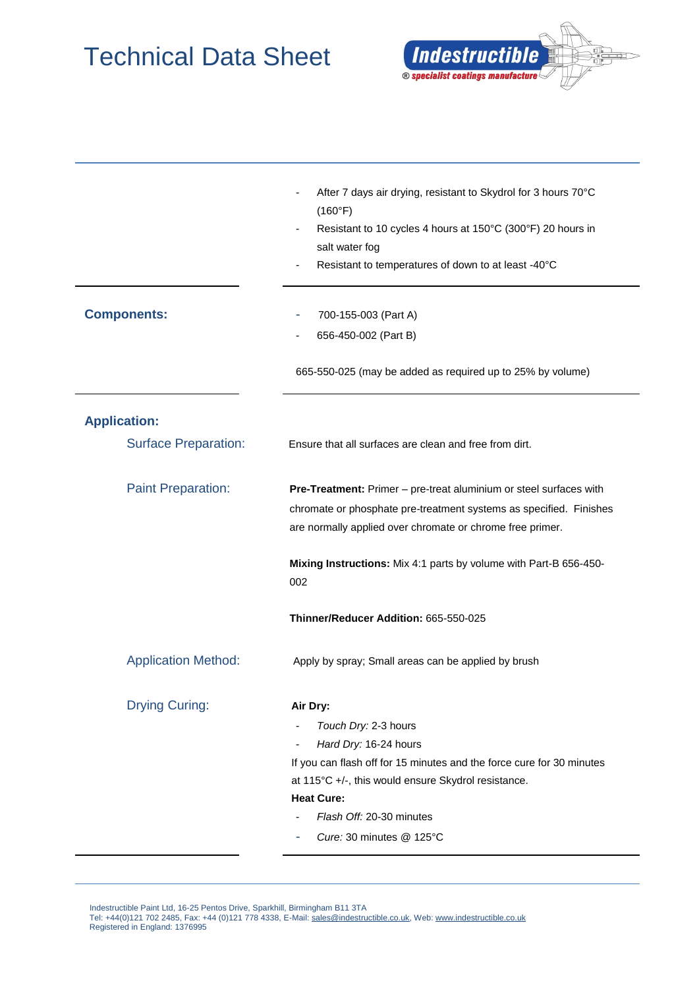## Technical Data Sheet



|                             | After 7 days air drying, resistant to Skydrol for 3 hours 70°C<br>(160°F)<br>Resistant to 10 cycles 4 hours at 150°C (300°F) 20 hours in<br>salt water fog<br>Resistant to temperatures of down to at least -40°C                                                      |  |
|-----------------------------|------------------------------------------------------------------------------------------------------------------------------------------------------------------------------------------------------------------------------------------------------------------------|--|
| <b>Components:</b>          | 700-155-003 (Part A)<br>656-450-002 (Part B)                                                                                                                                                                                                                           |  |
|                             | 665-550-025 (may be added as required up to 25% by volume)                                                                                                                                                                                                             |  |
| <b>Application:</b>         |                                                                                                                                                                                                                                                                        |  |
| <b>Surface Preparation:</b> | Ensure that all surfaces are clean and free from dirt.                                                                                                                                                                                                                 |  |
| <b>Paint Preparation:</b>   | Pre-Treatment: Primer - pre-treat aluminium or steel surfaces with<br>chromate or phosphate pre-treatment systems as specified. Finishes<br>are normally applied over chromate or chrome free primer.                                                                  |  |
|                             | Mixing Instructions: Mix 4:1 parts by volume with Part-B 656-450-<br>002                                                                                                                                                                                               |  |
|                             | Thinner/Reducer Addition: 665-550-025                                                                                                                                                                                                                                  |  |
| <b>Application Method:</b>  | Apply by spray; Small areas can be applied by brush                                                                                                                                                                                                                    |  |
| <b>Drying Curing:</b>       | Air Dry:<br>Touch Dry: 2-3 hours<br>Hard Dry: 16-24 hours<br>If you can flash off for 15 minutes and the force cure for 30 minutes<br>at 115°C +/-, this would ensure Skydrol resistance.<br><b>Heat Cure:</b><br>Flash Off: 20-30 minutes<br>Cure: 30 minutes @ 125°C |  |

 Indestructible Paint Ltd, 16-25 Pentos Drive, Sparkhill, Birmingham B11 3TA Tel: +44(0)121 702 2485, Fax: +44 (0)121 778 4338, E-Mail[: sales@indestructible.co.uk,](mailto:sales@indestructible.co.uk) Web[: www.indestructible.co.uk](http://www.indestructible.co.uk/) Registered in England: 1376995